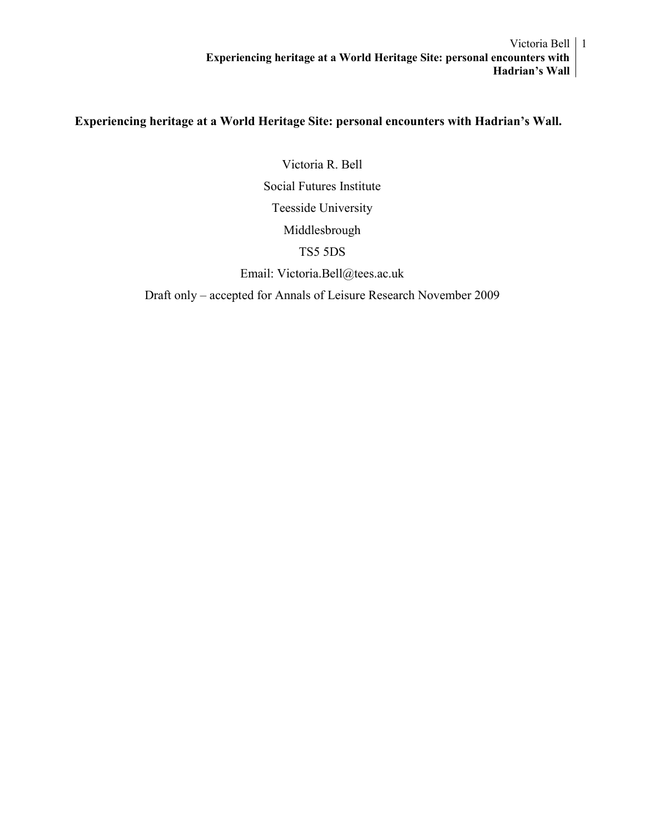**Experiencing heritage at a World Heritage Site: personal encounters with Hadrian's Wall.** 

Victoria R. Bell Social Futures Institute Teesside University Middlesbrough TS5 5DS

Email: Victoria.Bell@tees.ac.uk

Draft only – accepted for Annals of Leisure Research November 2009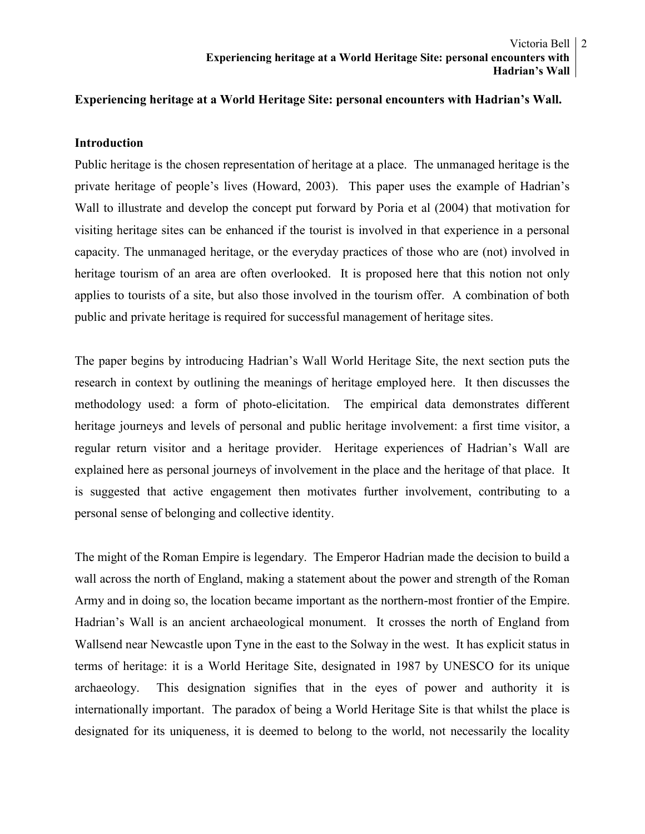# **Experiencing heritage at a World Heritage Site: personal encounters with Hadrian's Wall.**

### **Introduction**

Public heritage is the chosen representation of heritage at a place. The unmanaged heritage is the private heritage of people's lives (Howard, 2003). This paper uses the example of Hadrian's Wall to illustrate and develop the concept put forward by Poria et al (2004) that motivation for visiting heritage sites can be enhanced if the tourist is involved in that experience in a personal capacity. The unmanaged heritage, or the everyday practices of those who are (not) involved in heritage tourism of an area are often overlooked. It is proposed here that this notion not only applies to tourists of a site, but also those involved in the tourism offer. A combination of both public and private heritage is required for successful management of heritage sites.

The paper begins by introducing Hadrian's Wall World Heritage Site, the next section puts the research in context by outlining the meanings of heritage employed here. It then discusses the methodology used: a form of photo-elicitation. The empirical data demonstrates different heritage journeys and levels of personal and public heritage involvement: a first time visitor, a regular return visitor and a heritage provider. Heritage experiences of Hadrian's Wall are explained here as personal journeys of involvement in the place and the heritage of that place. It is suggested that active engagement then motivates further involvement, contributing to a personal sense of belonging and collective identity.

The might of the Roman Empire is legendary. The Emperor Hadrian made the decision to build a wall across the north of England, making a statement about the power and strength of the Roman Army and in doing so, the location became important as the northern-most frontier of the Empire. Hadrian's Wall is an ancient archaeological monument. It crosses the north of England from Wallsend near Newcastle upon Tyne in the east to the Solway in the west. It has explicit status in terms of heritage: it is a World Heritage Site, designated in 1987 by UNESCO for its unique archaeology. This designation signifies that in the eyes of power and authority it is internationally important. The paradox of being a World Heritage Site is that whilst the place is designated for its uniqueness, it is deemed to belong to the world, not necessarily the locality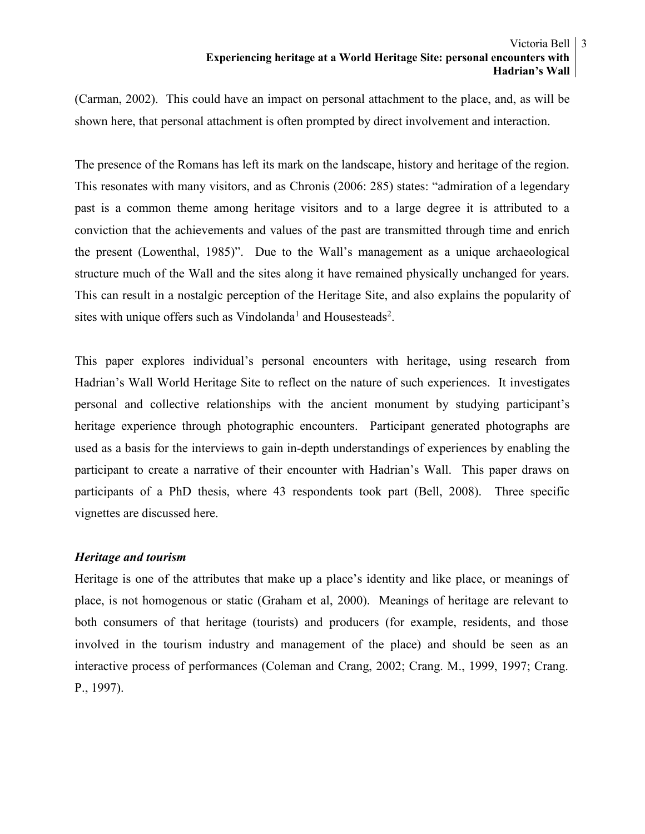#### Victoria Bell | 3  **Experiencing heritage at a World Heritage Site: personal encounters with Hadrian's Wall**

(Carman, 2002). This could have an impact on personal attachment to the place, and, as will be shown here, that personal attachment is often prompted by direct involvement and interaction.

The presence of the Romans has left its mark on the landscape, history and heritage of the region. This resonates with many visitors, and as Chronis (2006: 285) states: "admiration of a legendary past is a common theme among heritage visitors and to a large degree it is attributed to a conviction that the achievements and values of the past are transmitted through time and enrich the present (Lowenthal, 1985)". Due to the Wall's management as a unique archaeological structure much of the Wall and the sites along it have remained physically unchanged for years. This can result in a nostalgic perception of the Heritage Site, and also explains the popularity of sites with unique offers such as Vindolanda<sup>1</sup> and Housesteads<sup>2</sup>.

This paper explores individual's personal encounters with heritage, using research from Hadrian's Wall World Heritage Site to reflect on the nature of such experiences. It investigates personal and collective relationships with the ancient monument by studying participant's heritage experience through photographic encounters. Participant generated photographs are used as a basis for the interviews to gain in-depth understandings of experiences by enabling the participant to create a narrative of their encounter with Hadrian's Wall. This paper draws on participants of a PhD thesis, where 43 respondents took part (Bell, 2008). Three specific vignettes are discussed here.

## *Heritage and tourism*

Heritage is one of the attributes that make up a place's identity and like place, or meanings of place, is not homogenous or static (Graham et al, 2000). Meanings of heritage are relevant to both consumers of that heritage (tourists) and producers (for example, residents, and those involved in the tourism industry and management of the place) and should be seen as an interactive process of performances (Coleman and Crang, 2002; Crang. M., 1999, 1997; Crang. P., 1997).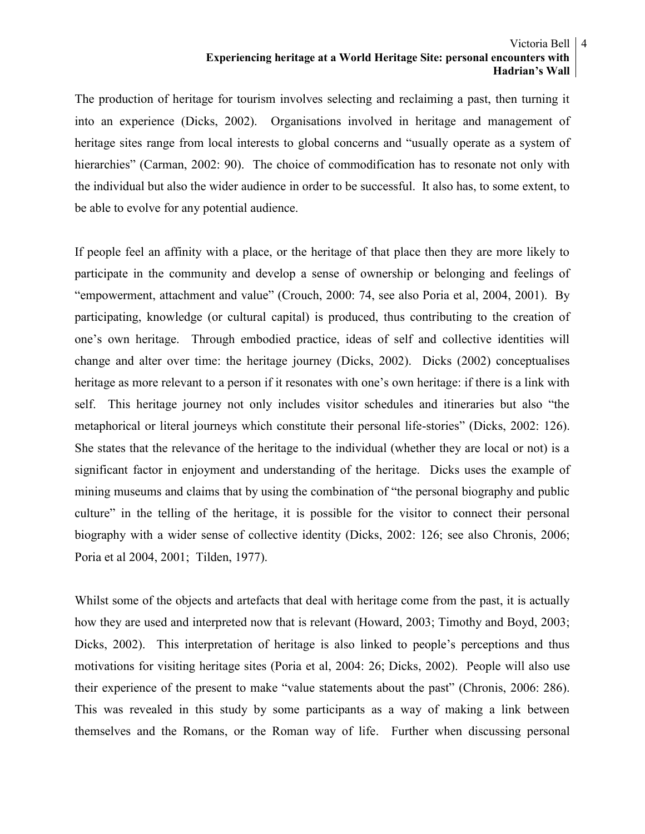#### Victoria Bell 4  **Experiencing heritage at a World Heritage Site: personal encounters with Hadrian's Wall**

The production of heritage for tourism involves selecting and reclaiming a past, then turning it into an experience (Dicks, 2002). Organisations involved in heritage and management of heritage sites range from local interests to global concerns and "usually operate as a system of hierarchies" (Carman, 2002: 90). The choice of commodification has to resonate not only with the individual but also the wider audience in order to be successful. It also has, to some extent, to be able to evolve for any potential audience.

If people feel an affinity with a place, or the heritage of that place then they are more likely to participate in the community and develop a sense of ownership or belonging and feelings of "empowerment, attachment and value" (Crouch, 2000: 74, see also Poria et al, 2004, 2001). By participating, knowledge (or cultural capital) is produced, thus contributing to the creation of one's own heritage. Through embodied practice, ideas of self and collective identities will change and alter over time: the heritage journey (Dicks, 2002). Dicks (2002) conceptualises heritage as more relevant to a person if it resonates with one's own heritage: if there is a link with self. This heritage journey not only includes visitor schedules and itineraries but also "the metaphorical or literal journeys which constitute their personal life-stories" (Dicks, 2002: 126). She states that the relevance of the heritage to the individual (whether they are local or not) is a significant factor in enjoyment and understanding of the heritage. Dicks uses the example of mining museums and claims that by using the combination of "the personal biography and public culture" in the telling of the heritage, it is possible for the visitor to connect their personal biography with a wider sense of collective identity (Dicks, 2002: 126; see also Chronis, 2006; Poria et al 2004, 2001; Tilden, 1977).

Whilst some of the objects and artefacts that deal with heritage come from the past, it is actually how they are used and interpreted now that is relevant (Howard, 2003; Timothy and Boyd, 2003; Dicks, 2002). This interpretation of heritage is also linked to people's perceptions and thus motivations for visiting heritage sites (Poria et al, 2004: 26; Dicks, 2002). People will also use their experience of the present to make "value statements about the past" (Chronis, 2006: 286). This was revealed in this study by some participants as a way of making a link between themselves and the Romans, or the Roman way of life. Further when discussing personal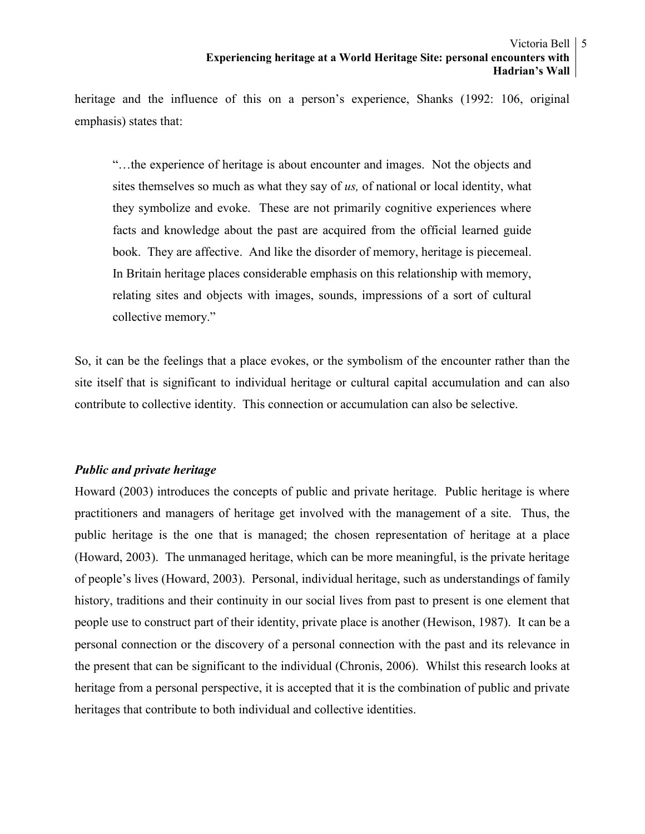#### Victoria Bell 5  **Experiencing heritage at a World Heritage Site: personal encounters with Hadrian's Wall**

heritage and the influence of this on a person's experience, Shanks (1992: 106, original emphasis) states that:

"…the experience of heritage is about encounter and images. Not the objects and sites themselves so much as what they say of *us,* of national or local identity, what they symbolize and evoke. These are not primarily cognitive experiences where facts and knowledge about the past are acquired from the official learned guide book. They are affective. And like the disorder of memory, heritage is piecemeal. In Britain heritage places considerable emphasis on this relationship with memory, relating sites and objects with images, sounds, impressions of a sort of cultural collective memory."

So, it can be the feelings that a place evokes, or the symbolism of the encounter rather than the site itself that is significant to individual heritage or cultural capital accumulation and can also contribute to collective identity. This connection or accumulation can also be selective.

## *Public and private heritage*

Howard (2003) introduces the concepts of public and private heritage. Public heritage is where practitioners and managers of heritage get involved with the management of a site. Thus, the public heritage is the one that is managed; the chosen representation of heritage at a place (Howard, 2003). The unmanaged heritage, which can be more meaningful, is the private heritage of people's lives (Howard, 2003). Personal, individual heritage, such as understandings of family history, traditions and their continuity in our social lives from past to present is one element that people use to construct part of their identity, private place is another (Hewison, 1987). It can be a personal connection or the discovery of a personal connection with the past and its relevance in the present that can be significant to the individual (Chronis, 2006). Whilst this research looks at heritage from a personal perspective, it is accepted that it is the combination of public and private heritages that contribute to both individual and collective identities.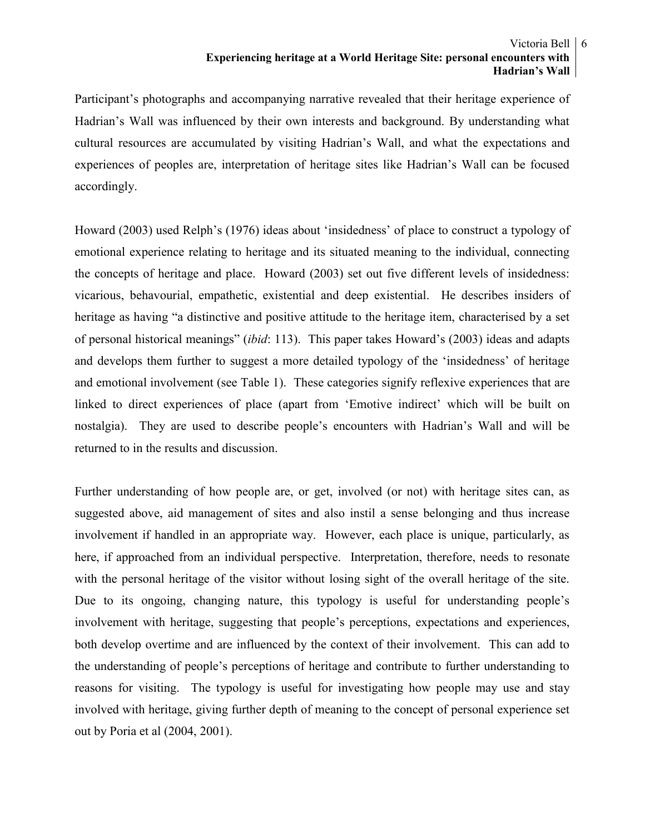#### Victoria Bell | 6  **Experiencing heritage at a World Heritage Site: personal encounters with Hadrian's Wall**

Participant's photographs and accompanying narrative revealed that their heritage experience of Hadrian's Wall was influenced by their own interests and background. By understanding what cultural resources are accumulated by visiting Hadrian's Wall, and what the expectations and experiences of peoples are, interpretation of heritage sites like Hadrian's Wall can be focused accordingly.

Howard (2003) used Relph's (1976) ideas about 'insidedness' of place to construct a typology of emotional experience relating to heritage and its situated meaning to the individual, connecting the concepts of heritage and place. Howard (2003) set out five different levels of insidedness: vicarious, behavourial, empathetic, existential and deep existential. He describes insiders of heritage as having "a distinctive and positive attitude to the heritage item, characterised by a set of personal historical meanings" (*ibid*: 113). This paper takes Howard's (2003) ideas and adapts and develops them further to suggest a more detailed typology of the 'insidedness' of heritage and emotional involvement (see Table 1). These categories signify reflexive experiences that are linked to direct experiences of place (apart from 'Emotive indirect' which will be built on nostalgia). They are used to describe people's encounters with Hadrian's Wall and will be returned to in the results and discussion.

Further understanding of how people are, or get, involved (or not) with heritage sites can, as suggested above, aid management of sites and also instil a sense belonging and thus increase involvement if handled in an appropriate way. However, each place is unique, particularly, as here, if approached from an individual perspective. Interpretation, therefore, needs to resonate with the personal heritage of the visitor without losing sight of the overall heritage of the site. Due to its ongoing, changing nature, this typology is useful for understanding people's involvement with heritage, suggesting that people's perceptions, expectations and experiences, both develop overtime and are influenced by the context of their involvement. This can add to the understanding of people's perceptions of heritage and contribute to further understanding to reasons for visiting. The typology is useful for investigating how people may use and stay involved with heritage, giving further depth of meaning to the concept of personal experience set out by Poria et al (2004, 2001).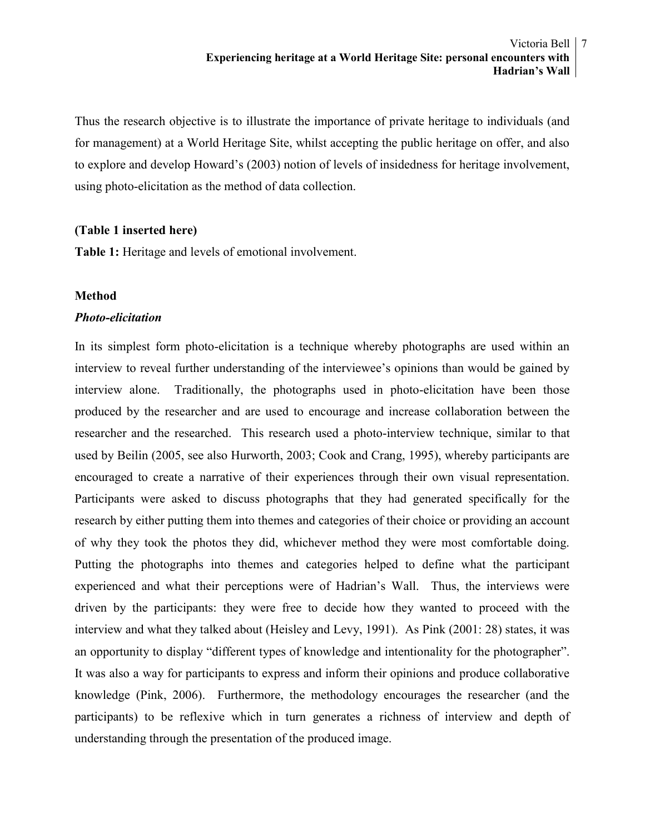#### Victoria Bell 7  **Experiencing heritage at a World Heritage Site: personal encounters with Hadrian's Wall**

Thus the research objective is to illustrate the importance of private heritage to individuals (and for management) at a World Heritage Site, whilst accepting the public heritage on offer, and also to explore and develop Howard's (2003) notion of levels of insidedness for heritage involvement, using photo-elicitation as the method of data collection.

## **(Table 1 inserted here)**

**Table 1:** Heritage and levels of emotional involvement.

### **Method**

### *Photo-elicitation*

In its simplest form photo-elicitation is a technique whereby photographs are used within an interview to reveal further understanding of the interviewee's opinions than would be gained by interview alone. Traditionally, the photographs used in photo-elicitation have been those produced by the researcher and are used to encourage and increase collaboration between the researcher and the researched. This research used a photo-interview technique, similar to that used by Beilin (2005, see also Hurworth, 2003; Cook and Crang, 1995), whereby participants are encouraged to create a narrative of their experiences through their own visual representation. Participants were asked to discuss photographs that they had generated specifically for the research by either putting them into themes and categories of their choice or providing an account of why they took the photos they did, whichever method they were most comfortable doing. Putting the photographs into themes and categories helped to define what the participant experienced and what their perceptions were of Hadrian's Wall. Thus, the interviews were driven by the participants: they were free to decide how they wanted to proceed with the interview and what they talked about (Heisley and Levy, 1991). As Pink (2001: 28) states, it was an opportunity to display "different types of knowledge and intentionality for the photographer". It was also a way for participants to express and inform their opinions and produce collaborative knowledge (Pink, 2006). Furthermore, the methodology encourages the researcher (and the participants) to be reflexive which in turn generates a richness of interview and depth of understanding through the presentation of the produced image.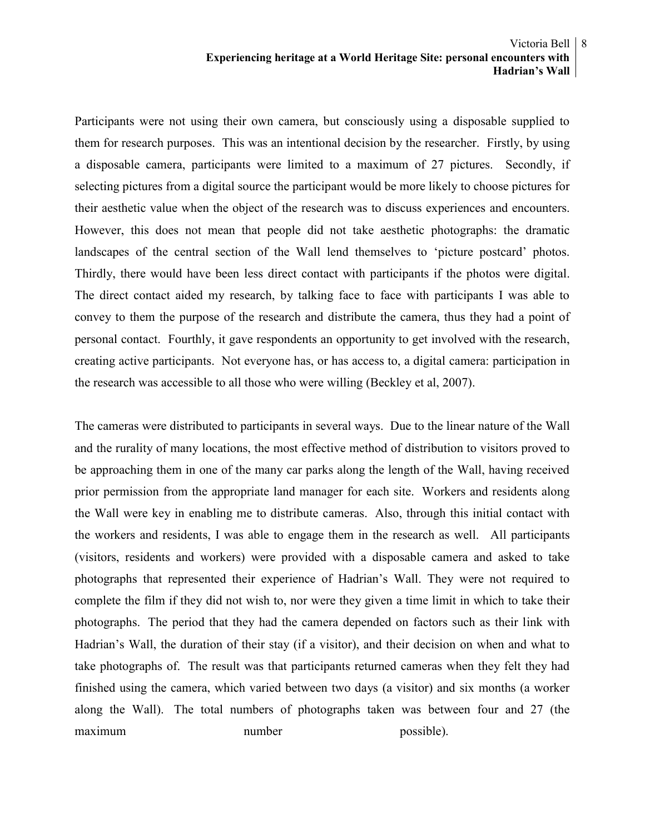#### Victoria Bell | 8  **Experiencing heritage at a World Heritage Site: personal encounters with Hadrian's Wall**

Participants were not using their own camera, but consciously using a disposable supplied to them for research purposes. This was an intentional decision by the researcher. Firstly, by using a disposable camera, participants were limited to a maximum of 27 pictures. Secondly, if selecting pictures from a digital source the participant would be more likely to choose pictures for their aesthetic value when the object of the research was to discuss experiences and encounters. However, this does not mean that people did not take aesthetic photographs: the dramatic landscapes of the central section of the Wall lend themselves to 'picture postcard' photos. Thirdly, there would have been less direct contact with participants if the photos were digital. The direct contact aided my research, by talking face to face with participants I was able to convey to them the purpose of the research and distribute the camera, thus they had a point of personal contact. Fourthly, it gave respondents an opportunity to get involved with the research, creating active participants. Not everyone has, or has access to, a digital camera: participation in the research was accessible to all those who were willing (Beckley et al, 2007).

The cameras were distributed to participants in several ways. Due to the linear nature of the Wall and the rurality of many locations, the most effective method of distribution to visitors proved to be approaching them in one of the many car parks along the length of the Wall, having received prior permission from the appropriate land manager for each site. Workers and residents along the Wall were key in enabling me to distribute cameras. Also, through this initial contact with the workers and residents, I was able to engage them in the research as well. All participants (visitors, residents and workers) were provided with a disposable camera and asked to take photographs that represented their experience of Hadrian's Wall. They were not required to complete the film if they did not wish to, nor were they given a time limit in which to take their photographs. The period that they had the camera depended on factors such as their link with Hadrian's Wall, the duration of their stay (if a visitor), and their decision on when and what to take photographs of. The result was that participants returned cameras when they felt they had finished using the camera, which varied between two days (a visitor) and six months (a worker along the Wall). The total numbers of photographs taken was between four and 27 (the maximum number possible).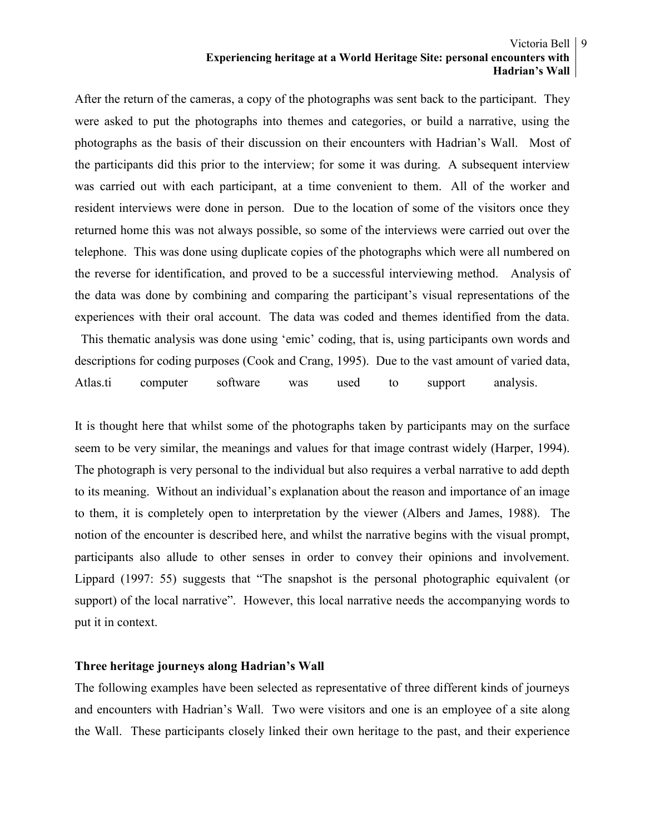#### Victoria Bell | 9  **Experiencing heritage at a World Heritage Site: personal encounters with Hadrian's Wall**

After the return of the cameras, a copy of the photographs was sent back to the participant. They were asked to put the photographs into themes and categories, or build a narrative, using the photographs as the basis of their discussion on their encounters with Hadrian's Wall. Most of the participants did this prior to the interview; for some it was during. A subsequent interview was carried out with each participant, at a time convenient to them. All of the worker and resident interviews were done in person. Due to the location of some of the visitors once they returned home this was not always possible, so some of the interviews were carried out over the telephone. This was done using duplicate copies of the photographs which were all numbered on the reverse for identification, and proved to be a successful interviewing method. Analysis of the data was done by combining and comparing the participant's visual representations of the experiences with their oral account. The data was coded and themes identified from the data. This thematic analysis was done using 'emic' coding, that is, using participants own words and

descriptions for coding purposes (Cook and Crang, 1995). Due to the vast amount of varied data, Atlas.ti computer software was used to support analysis.

It is thought here that whilst some of the photographs taken by participants may on the surface seem to be very similar, the meanings and values for that image contrast widely (Harper, 1994). The photograph is very personal to the individual but also requires a verbal narrative to add depth to its meaning. Without an individual's explanation about the reason and importance of an image to them, it is completely open to interpretation by the viewer (Albers and James, 1988). The notion of the encounter is described here, and whilst the narrative begins with the visual prompt, participants also allude to other senses in order to convey their opinions and involvement. Lippard (1997: 55) suggests that "The snapshot is the personal photographic equivalent (or support) of the local narrative". However, this local narrative needs the accompanying words to put it in context.

# **Three heritage journeys along Hadrian's Wall**

The following examples have been selected as representative of three different kinds of journeys and encounters with Hadrian's Wall. Two were visitors and one is an employee of a site along the Wall. These participants closely linked their own heritage to the past, and their experience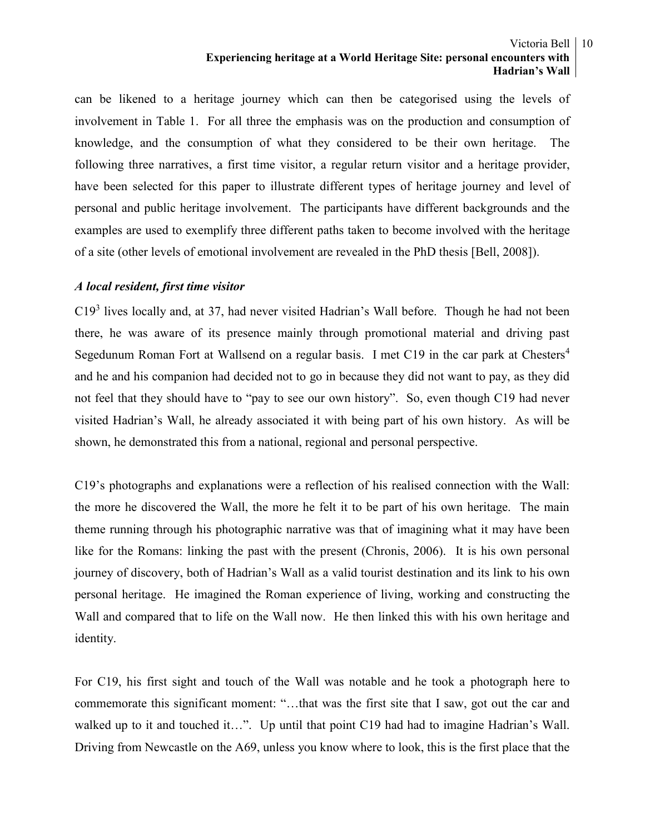### Victoria Bell 10  **Experiencing heritage at a World Heritage Site: personal encounters with Hadrian's Wall**

can be likened to a heritage journey which can then be categorised using the levels of involvement in Table 1. For all three the emphasis was on the production and consumption of knowledge, and the consumption of what they considered to be their own heritage. The following three narratives, a first time visitor, a regular return visitor and a heritage provider, have been selected for this paper to illustrate different types of heritage journey and level of personal and public heritage involvement. The participants have different backgrounds and the examples are used to exemplify three different paths taken to become involved with the heritage of a site (other levels of emotional involvement are revealed in the PhD thesis [Bell, 2008]).

## *A local resident, first time visitor*

 $C19<sup>3</sup>$  lives locally and, at 37, had never visited Hadrian's Wall before. Though he had not been there, he was aware of its presence mainly through promotional material and driving past Segedunum Roman Fort at Wallsend on a regular basis. I met C19 in the car park at Chesters<sup>4</sup> and he and his companion had decided not to go in because they did not want to pay, as they did not feel that they should have to "pay to see our own history". So, even though C19 had never visited Hadrian's Wall, he already associated it with being part of his own history. As will be shown, he demonstrated this from a national, regional and personal perspective.

C19's photographs and explanations were a reflection of his realised connection with the Wall: the more he discovered the Wall, the more he felt it to be part of his own heritage. The main theme running through his photographic narrative was that of imagining what it may have been like for the Romans: linking the past with the present (Chronis, 2006). It is his own personal journey of discovery, both of Hadrian's Wall as a valid tourist destination and its link to his own personal heritage. He imagined the Roman experience of living, working and constructing the Wall and compared that to life on the Wall now. He then linked this with his own heritage and identity.

For C19, his first sight and touch of the Wall was notable and he took a photograph here to commemorate this significant moment: "…that was the first site that I saw, got out the car and walked up to it and touched it…". Up until that point C19 had had to imagine Hadrian's Wall. Driving from Newcastle on the A69, unless you know where to look, this is the first place that the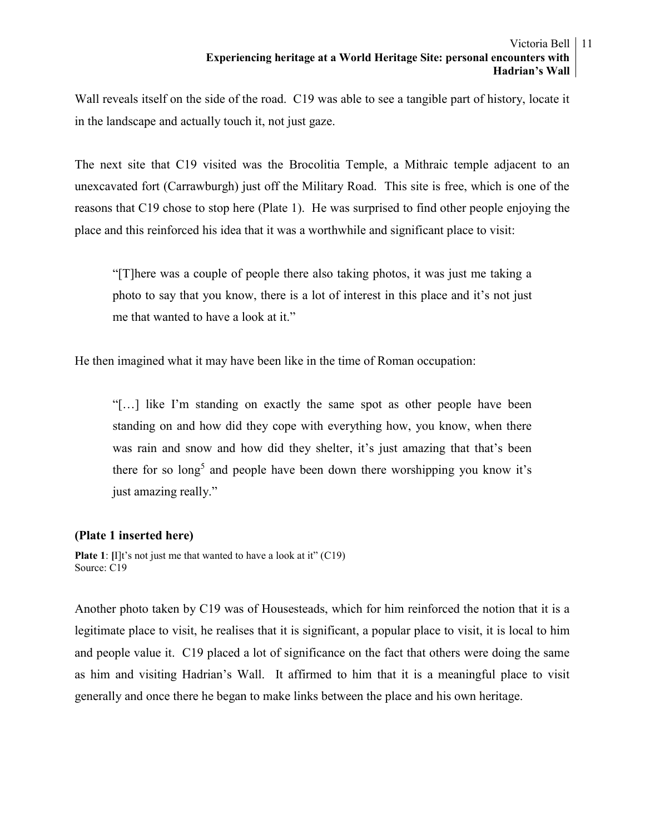#### Victoria Bell | 11  **Experiencing heritage at a World Heritage Site: personal encounters with Hadrian's Wall**

Wall reveals itself on the side of the road. C19 was able to see a tangible part of history, locate it in the landscape and actually touch it, not just gaze.

The next site that C19 visited was the Brocolitia Temple, a Mithraic temple adjacent to an unexcavated fort (Carrawburgh) just off the Military Road. This site is free, which is one of the reasons that C19 chose to stop here [\(Plate 1\)](#page-10-0). He was surprised to find other people enjoying the place and this reinforced his idea that it was a worthwhile and significant place to visit:

"[T]here was a couple of people there also taking photos, it was just me taking a photo to say that you know, there is a lot of interest in this place and it's not just me that wanted to have a look at it."

He then imagined what it may have been like in the time of Roman occupation:

"[…] like I'm standing on exactly the same spot as other people have been standing on and how did they cope with everything how, you know, when there was rain and snow and how did they shelter, it's just amazing that that's been there for so long<sup>5</sup> and people have been down there worshipping you know it's just amazing really."

## **(Plate 1 inserted here)**

<span id="page-10-0"></span>**Plate 1:**  $[I]$ t's not just me that wanted to have a look at it"  $(C19)$ Source: C19

Another photo taken by C19 was of Housesteads, which for him reinforced the notion that it is a legitimate place to visit, he realises that it is significant, a popular place to visit, it is local to him and people value it. C19 placed a lot of significance on the fact that others were doing the same as him and visiting Hadrian's Wall. It affirmed to him that it is a meaningful place to visit generally and once there he began to make links between the place and his own heritage.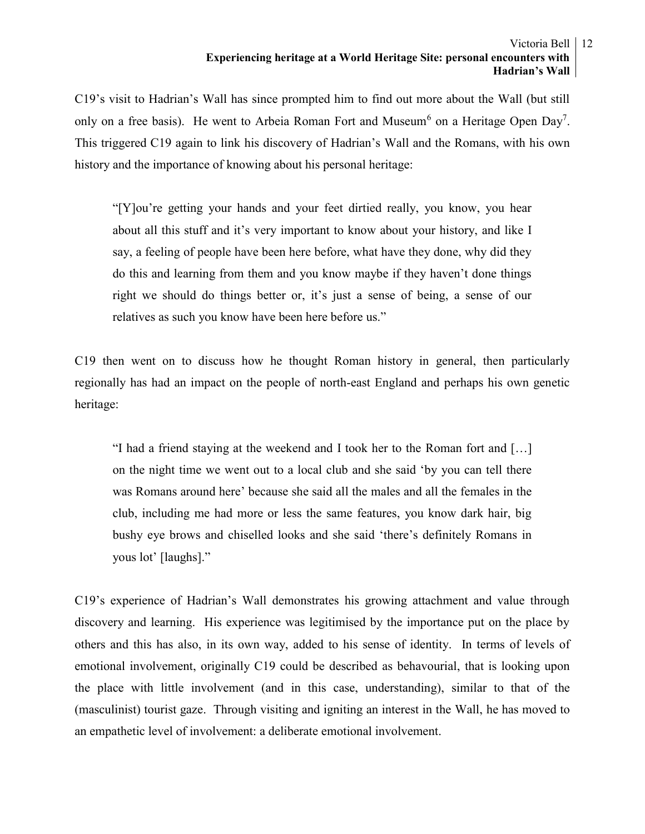## Victoria Bell 12  **Experiencing heritage at a World Heritage Site: personal encounters with Hadrian's Wall**

C19's visit to Hadrian's Wall has since prompted him to find out more about the Wall (but still only on a free basis). He went to Arbeia Roman Fort and Museum<sup>6</sup> on a Heritage Open Day<sup>7</sup>. This triggered C19 again to link his discovery of Hadrian's Wall and the Romans, with his own history and the importance of knowing about his personal heritage:

"[Y]ou're getting your hands and your feet dirtied really, you know, you hear about all this stuff and it's very important to know about your history, and like I say, a feeling of people have been here before, what have they done, why did they do this and learning from them and you know maybe if they haven't done things right we should do things better or, it's just a sense of being, a sense of our relatives as such you know have been here before us."

C19 then went on to discuss how he thought Roman history in general, then particularly regionally has had an impact on the people of north-east England and perhaps his own genetic heritage:

"I had a friend staying at the weekend and I took her to the Roman fort and […] on the night time we went out to a local club and she said 'by you can tell there was Romans around here' because she said all the males and all the females in the club, including me had more or less the same features, you know dark hair, big bushy eye brows and chiselled looks and she said 'there's definitely Romans in yous lot' [laughs]."

C19's experience of Hadrian's Wall demonstrates his growing attachment and value through discovery and learning. His experience was legitimised by the importance put on the place by others and this has also, in its own way, added to his sense of identity. In terms of levels of emotional involvement, originally C19 could be described as behavourial, that is looking upon the place with little involvement (and in this case, understanding), similar to that of the (masculinist) tourist gaze. Through visiting and igniting an interest in the Wall, he has moved to an empathetic level of involvement: a deliberate emotional involvement.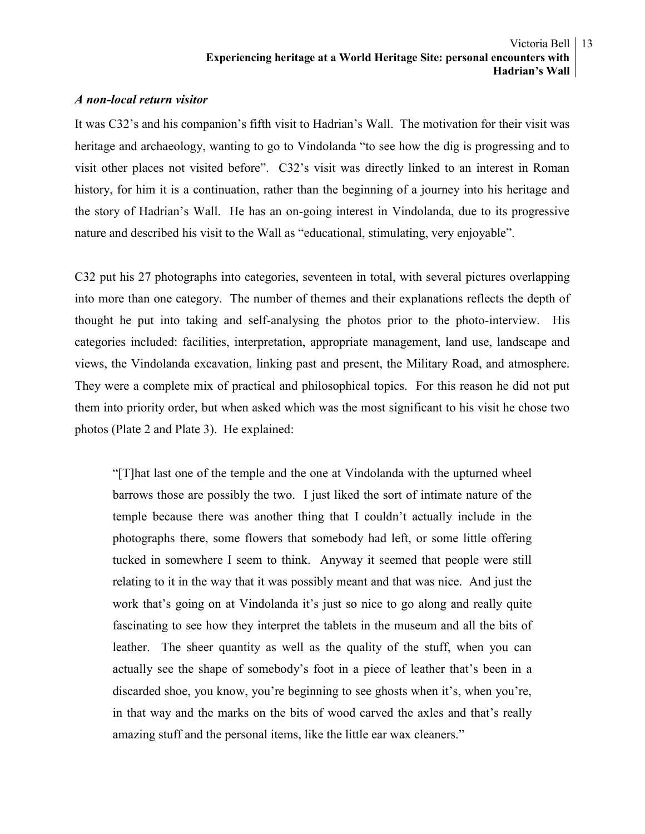### *A non-local return visitor*

It was C32's and his companion's fifth visit to Hadrian's Wall. The motivation for their visit was heritage and archaeology, wanting to go to Vindolanda "to see how the dig is progressing and to visit other places not visited before". C32's visit was directly linked to an interest in Roman history, for him it is a continuation, rather than the beginning of a journey into his heritage and the story of Hadrian's Wall. He has an on-going interest in Vindolanda, due to its progressive nature and described his visit to the Wall as "educational, stimulating, very enjoyable".

C32 put his 27 photographs into categories, seventeen in total, with several pictures overlapping into more than one category. The number of themes and their explanations reflects the depth of thought he put into taking and self-analysing the photos prior to the photo-interview. His categories included: facilities, interpretation, appropriate management, land use, landscape and views, the Vindolanda excavation, linking past and present, the Military Road, and atmosphere. They were a complete mix of practical and philosophical topics. For this reason he did not put them into priority order, but when asked which was the most significant to his visit he chose two photos [\(Plate 2](#page-13-0) and [Plate 3\)](#page-13-1). He explained:

"[T]hat last one of the temple and the one at Vindolanda with the upturned wheel barrows those are possibly the two. I just liked the sort of intimate nature of the temple because there was another thing that I couldn't actually include in the photographs there, some flowers that somebody had left, or some little offering tucked in somewhere I seem to think. Anyway it seemed that people were still relating to it in the way that it was possibly meant and that was nice. And just the work that's going on at Vindolanda it's just so nice to go along and really quite fascinating to see how they interpret the tablets in the museum and all the bits of leather. The sheer quantity as well as the quality of the stuff, when you can actually see the shape of somebody's foot in a piece of leather that's been in a discarded shoe, you know, you're beginning to see ghosts when it's, when you're, in that way and the marks on the bits of wood carved the axles and that's really amazing stuff and the personal items, like the little ear wax cleaners."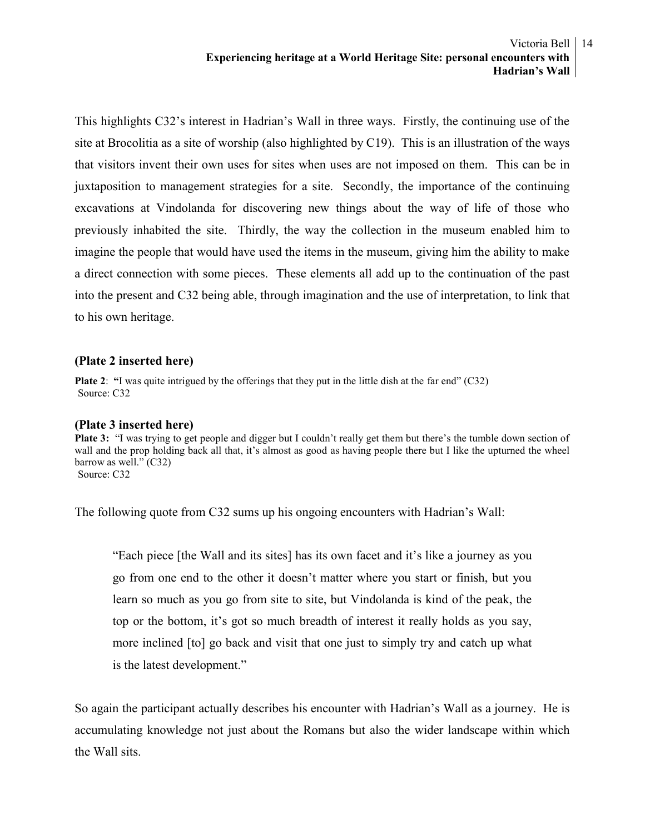#### Victoria Bell 14  **Experiencing heritage at a World Heritage Site: personal encounters with Hadrian's Wall**

This highlights C32's interest in Hadrian's Wall in three ways. Firstly, the continuing use of the site at Brocolitia as a site of worship (also highlighted by C19). This is an illustration of the ways that visitors invent their own uses for sites when uses are not imposed on them. This can be in juxtaposition to management strategies for a site. Secondly, the importance of the continuing excavations at Vindolanda for discovering new things about the way of life of those who previously inhabited the site. Thirdly, the way the collection in the museum enabled him to imagine the people that would have used the items in the museum, giving him the ability to make a direct connection with some pieces. These elements all add up to the continuation of the past into the present and C32 being able, through imagination and the use of interpretation, to link that to his own heritage.

## **(Plate 2 inserted here)**

<span id="page-13-0"></span>**Plate 2:** "I was quite intrigued by the offerings that they put in the little dish at the far end" (C32) Source: C32

### **(Plate 3 inserted here)**

<span id="page-13-1"></span>**Plate 3:** "I was trying to get people and digger but I couldn't really get them but there's the tumble down section of wall and the prop holding back all that, it's almost as good as having people there but I like the upturned the wheel barrow as well." (C32) Source: C32

The following quote from C32 sums up his ongoing encounters with Hadrian's Wall:

"Each piece [the Wall and its sites] has its own facet and it's like a journey as you go from one end to the other it doesn't matter where you start or finish, but you learn so much as you go from site to site, but Vindolanda is kind of the peak, the top or the bottom, it's got so much breadth of interest it really holds as you say, more inclined [to] go back and visit that one just to simply try and catch up what is the latest development."

So again the participant actually describes his encounter with Hadrian's Wall as a journey. He is accumulating knowledge not just about the Romans but also the wider landscape within which the Wall sits.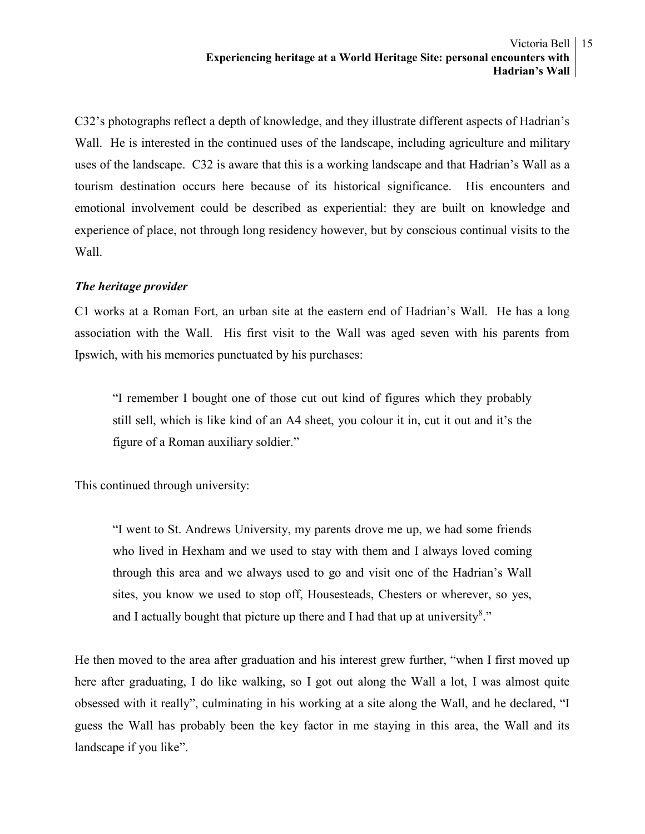#### Victoria Bell 15  **Experiencing heritage at a World Heritage Site: personal encounters with Hadrian's Wall**

C32's photographs reflect a depth of knowledge, and they illustrate different aspects of Hadrian's Wall. He is interested in the continued uses of the landscape, including agriculture and military uses of the landscape. C32 is aware that this is a working landscape and that Hadrian's Wall as a tourism destination occurs here because of its historical significance. His encounters and emotional involvement could be described as experiential: they are built on knowledge and experience of place, not through long residency however, but by conscious continual visits to the Wall.

## *The heritage provider*

C1 works at a Roman Fort, an urban site at the eastern end of Hadrian's Wall. He has a long association with the Wall. His first visit to the Wall was aged seven with his parents from Ipswich, with his memories punctuated by his purchases:

"I remember I bought one of those cut out kind of figures which they probably still sell, which is like kind of an A4 sheet, you colour it in, cut it out and it's the figure of a Roman auxiliary soldier."

This continued through university:

"I went to St. Andrews University, my parents drove me up, we had some friends who lived in Hexham and we used to stay with them and I always loved coming through this area and we always used to go and visit one of the Hadrian's Wall sites, you know we used to stop off, Housesteads, Chesters or wherever, so yes, and I actually bought that picture up there and I had that up at university<sup>8</sup>."

He then moved to the area after graduation and his interest grew further, "when I first moved up here after graduating, I do like walking, so I got out along the Wall a lot, I was almost quite obsessed with it really", culminating in his working at a site along the Wall, and he declared, "I guess the Wall has probably been the key factor in me staying in this area, the Wall and its landscape if you like".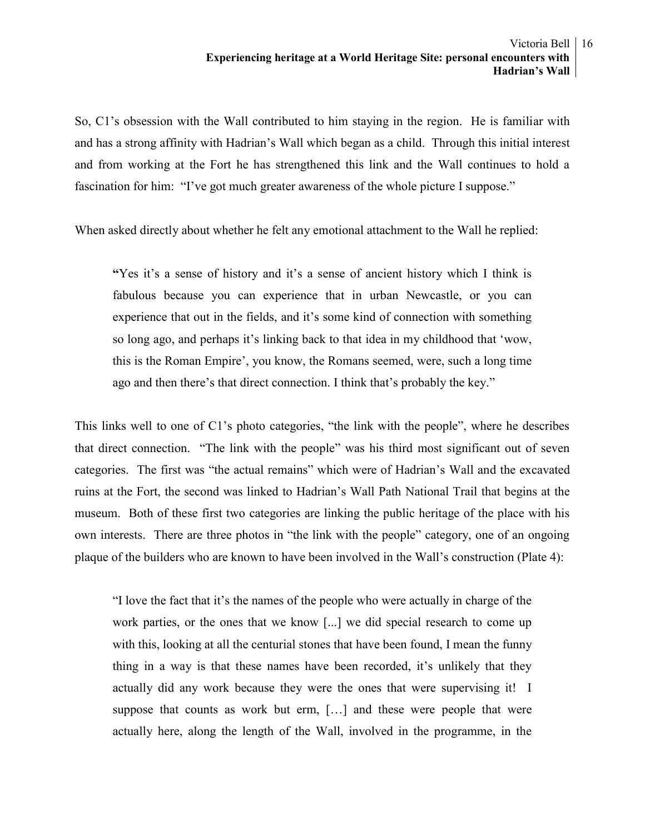#### Victoria Bell | 16  **Experiencing heritage at a World Heritage Site: personal encounters with Hadrian's Wall**

So, C1's obsession with the Wall contributed to him staying in the region. He is familiar with and has a strong affinity with Hadrian's Wall which began as a child. Through this initial interest and from working at the Fort he has strengthened this link and the Wall continues to hold a fascination for him: "I've got much greater awareness of the whole picture I suppose."

When asked directly about whether he felt any emotional attachment to the Wall he replied:

**"**Yes it's a sense of history and it's a sense of ancient history which I think is fabulous because you can experience that in urban Newcastle, or you can experience that out in the fields, and it's some kind of connection with something so long ago, and perhaps it's linking back to that idea in my childhood that 'wow, this is the Roman Empire', you know, the Romans seemed, were, such a long time ago and then there's that direct connection. I think that's probably the key."

This links well to one of C1's photo categories, "the link with the people", where he describes that direct connection. "The link with the people" was his third most significant out of seven categories. The first was "the actual remains" which were of Hadrian's Wall and the excavated ruins at the Fort, the second was linked to Hadrian's Wall Path National Trail that begins at the museum. Both of these first two categories are linking the public heritage of the place with his own interests. There are three photos in "the link with the people" category, one of an ongoing plaque of the builders who are known to have been involved in the Wall's construction [\(Plate 4\)](#page-17-0):

"I love the fact that it's the names of the people who were actually in charge of the work parties, or the ones that we know [...] we did special research to come up with this, looking at all the centurial stones that have been found, I mean the funny thing in a way is that these names have been recorded, it's unlikely that they actually did any work because they were the ones that were supervising it! I suppose that counts as work but erm, […] and these were people that were actually here, along the length of the Wall, involved in the programme, in the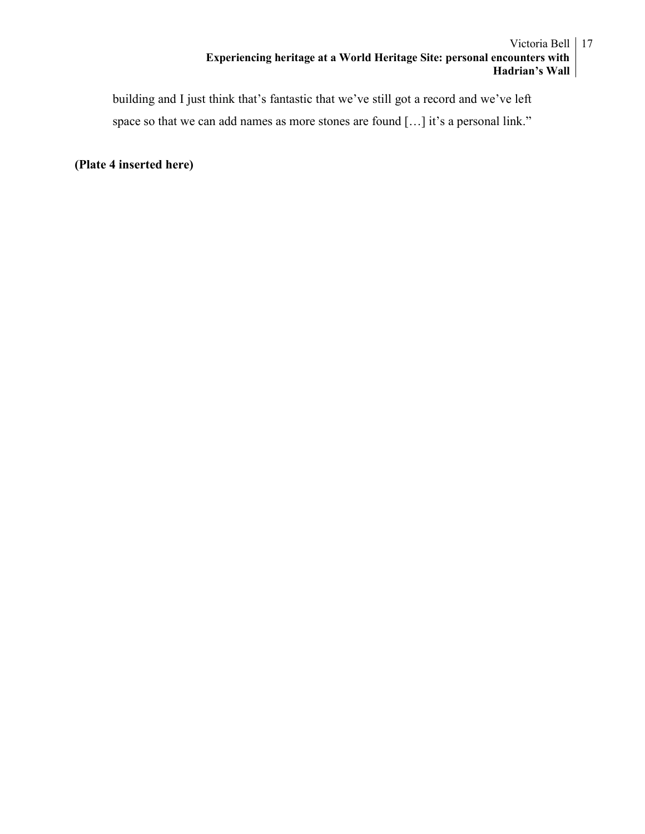## Victoria Bell 17  **Experiencing heritage at a World Heritage Site: personal encounters with Hadrian's Wall**

building and I just think that's fantastic that we've still got a record and we've left space so that we can add names as more stones are found [...] it's a personal link."

**(Plate 4 inserted here)**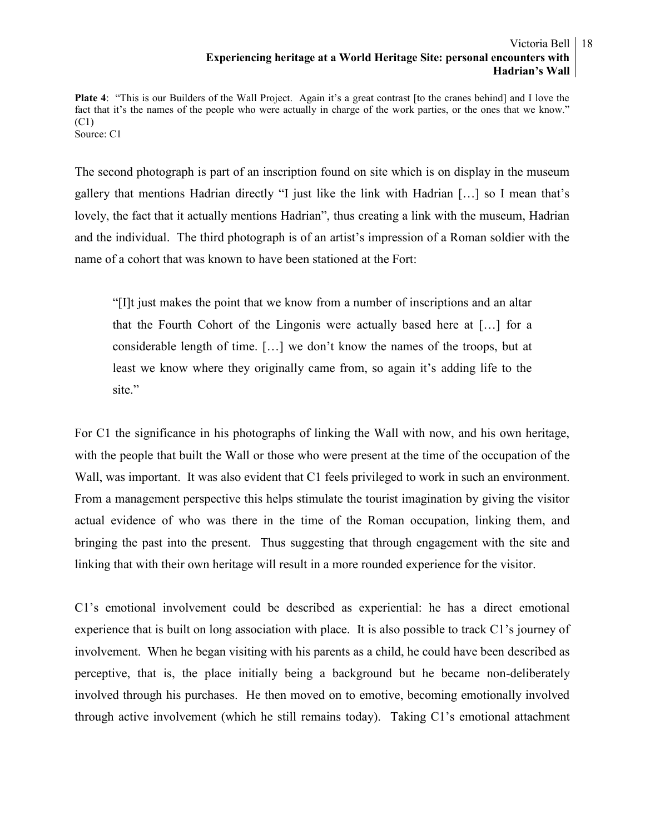### Victoria Bell 18  **Experiencing heritage at a World Heritage Site: personal encounters with Hadrian's Wall**

<span id="page-17-0"></span>**Plate 4:** "This is our Builders of the Wall Project. Again it's a great contrast [to the cranes behind] and I love the fact that it's the names of the people who were actually in charge of the work parties, or the ones that we know." (C1) Source: C1

The second photograph is part of an inscription found on site which is on display in the museum gallery that mentions Hadrian directly "I just like the link with Hadrian […] so I mean that's lovely, the fact that it actually mentions Hadrian", thus creating a link with the museum, Hadrian and the individual. The third photograph is of an artist's impression of a Roman soldier with the name of a cohort that was known to have been stationed at the Fort:

"[I]t just makes the point that we know from a number of inscriptions and an altar that the Fourth Cohort of the Lingonis were actually based here at […] for a considerable length of time. […] we don't know the names of the troops, but at least we know where they originally came from, so again it's adding life to the site."

For C1 the significance in his photographs of linking the Wall with now, and his own heritage, with the people that built the Wall or those who were present at the time of the occupation of the Wall, was important. It was also evident that C1 feels privileged to work in such an environment. From a management perspective this helps stimulate the tourist imagination by giving the visitor actual evidence of who was there in the time of the Roman occupation, linking them, and bringing the past into the present. Thus suggesting that through engagement with the site and linking that with their own heritage will result in a more rounded experience for the visitor.

C1's emotional involvement could be described as experiential: he has a direct emotional experience that is built on long association with place. It is also possible to track C1's journey of involvement. When he began visiting with his parents as a child, he could have been described as perceptive, that is, the place initially being a background but he became non-deliberately involved through his purchases. He then moved on to emotive, becoming emotionally involved through active involvement (which he still remains today). Taking C1's emotional attachment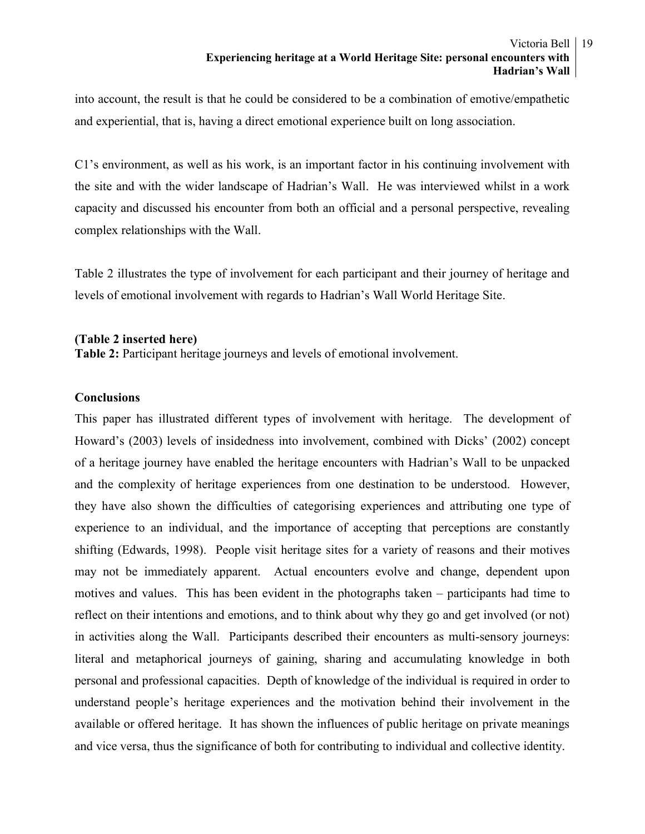## Victoria Bell 19  **Experiencing heritage at a World Heritage Site: personal encounters with Hadrian's Wall**

into account, the result is that he could be considered to be a combination of emotive/empathetic and experiential, that is, having a direct emotional experience built on long association.

C1's environment, as well as his work, is an important factor in his continuing involvement with the site and with the wider landscape of Hadrian's Wall. He was interviewed whilst in a work capacity and discussed his encounter from both an official and a personal perspective, revealing complex relationships with the Wall.

Table 2 illustrates the type of involvement for each participant and their journey of heritage and levels of emotional involvement with regards to Hadrian's Wall World Heritage Site.

## **(Table 2 inserted here)**

**Table 2:** Participant heritage journeys and levels of emotional involvement.

## **Conclusions**

This paper has illustrated different types of involvement with heritage. The development of Howard's (2003) levels of insidedness into involvement, combined with Dicks' (2002) concept of a heritage journey have enabled the heritage encounters with Hadrian's Wall to be unpacked and the complexity of heritage experiences from one destination to be understood. However, they have also shown the difficulties of categorising experiences and attributing one type of experience to an individual, and the importance of accepting that perceptions are constantly shifting (Edwards, 1998). People visit heritage sites for a variety of reasons and their motives may not be immediately apparent. Actual encounters evolve and change, dependent upon motives and values. This has been evident in the photographs taken – participants had time to reflect on their intentions and emotions, and to think about why they go and get involved (or not) in activities along the Wall. Participants described their encounters as multi-sensory journeys: literal and metaphorical journeys of gaining, sharing and accumulating knowledge in both personal and professional capacities. Depth of knowledge of the individual is required in order to understand people's heritage experiences and the motivation behind their involvement in the available or offered heritage. It has shown the influences of public heritage on private meanings and vice versa, thus the significance of both for contributing to individual and collective identity.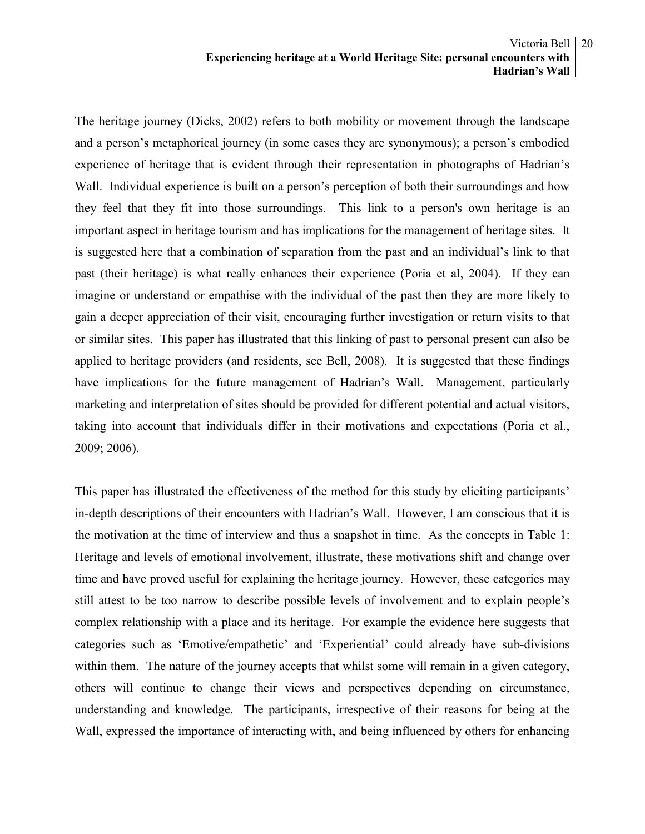#### Victoria Bell  **Experiencing heritage at a World Heritage Site: personal encounters with Hadrian's Wall** 20

The heritage journey (Dicks, 2002) refers to both mobility or movement through the landscape and a person's metaphorical journey (in some cases they are synonymous); a person's embodied experience of heritage that is evident through their representation in photographs of Hadrian's Wall. Individual experience is built on a person's perception of both their surroundings and how they feel that they fit into those surroundings. This link to a person's own heritage is an important aspect in heritage tourism and has implications for the management of heritage sites. It is suggested here that a combination of separation from the past and an individual's link to that past (their heritage) is what really enhances their experience (Poria et al, 2004). If they can imagine or understand or empathise with the individual of the past then they are more likely to gain a deeper appreciation of their visit, encouraging further investigation or return visits to that or similar sites. This paper has illustrated that this linking of past to personal present can also be applied to heritage providers (and residents, see Bell, 2008). It is suggested that these findings have implications for the future management of Hadrian's Wall. Management, particularly marketing and interpretation of sites should be provided for different potential and actual visitors, taking into account that individuals differ in their motivations and expectations (Poria et al., 2009; 2006).

This paper has illustrated the effectiveness of the method for this study by eliciting participants' in-depth descriptions of their encounters with Hadrian's Wall. However, I am conscious that it is the motivation at the time of interview and thus a snapshot in time. As the concepts in Table 1: Heritage and levels of emotional involvement, illustrate, these motivations shift and change over time and have proved useful for explaining the heritage journey. However, these categories may still attest to be too narrow to describe possible levels of involvement and to explain people's complex relationship with a place and its heritage. For example the evidence here suggests that categories such as 'Emotive/empathetic' and 'Experiential' could already have sub-divisions within them. The nature of the journey accepts that whilst some will remain in a given category, others will continue to change their views and perspectives depending on circumstance, understanding and knowledge. The participants, irrespective of their reasons for being at the Wall, expressed the importance of interacting with, and being influenced by others for enhancing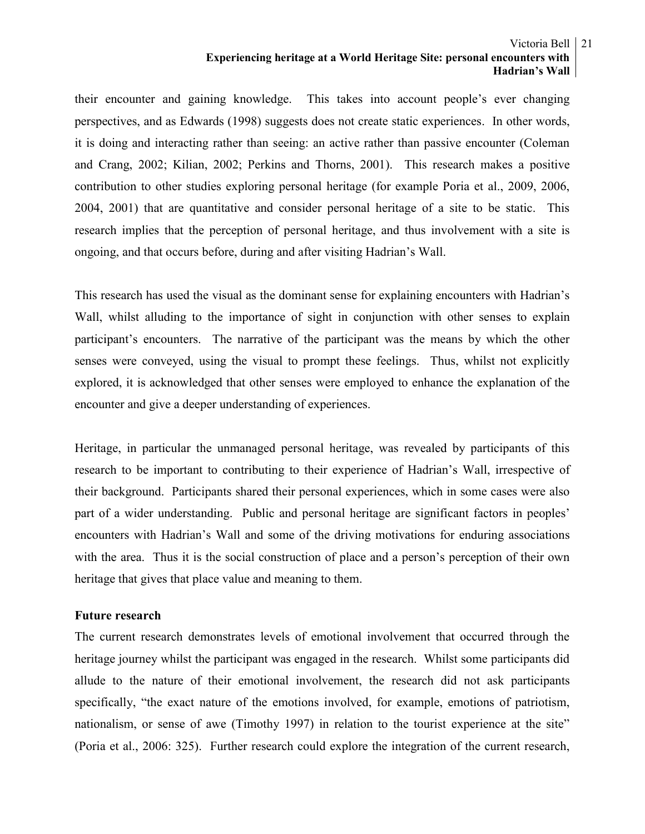### Victoria Bell 21  **Experiencing heritage at a World Heritage Site: personal encounters with Hadrian's Wall**

their encounter and gaining knowledge. This takes into account people's ever changing perspectives, and as Edwards (1998) suggests does not create static experiences. In other words, it is doing and interacting rather than seeing: an active rather than passive encounter (Coleman and Crang, 2002; Kilian, 2002; Perkins and Thorns, 2001). This research makes a positive contribution to other studies exploring personal heritage (for example Poria et al., 2009, 2006, 2004, 2001) that are quantitative and consider personal heritage of a site to be static. This research implies that the perception of personal heritage, and thus involvement with a site is ongoing, and that occurs before, during and after visiting Hadrian's Wall.

This research has used the visual as the dominant sense for explaining encounters with Hadrian's Wall, whilst alluding to the importance of sight in conjunction with other senses to explain participant's encounters. The narrative of the participant was the means by which the other senses were conveyed, using the visual to prompt these feelings. Thus, whilst not explicitly explored, it is acknowledged that other senses were employed to enhance the explanation of the encounter and give a deeper understanding of experiences.

Heritage, in particular the unmanaged personal heritage, was revealed by participants of this research to be important to contributing to their experience of Hadrian's Wall, irrespective of their background. Participants shared their personal experiences, which in some cases were also part of a wider understanding. Public and personal heritage are significant factors in peoples' encounters with Hadrian's Wall and some of the driving motivations for enduring associations with the area. Thus it is the social construction of place and a person's perception of their own heritage that gives that place value and meaning to them.

### **Future research**

The current research demonstrates levels of emotional involvement that occurred through the heritage journey whilst the participant was engaged in the research. Whilst some participants did allude to the nature of their emotional involvement, the research did not ask participants specifically, "the exact nature of the emotions involved, for example, emotions of patriotism, nationalism, or sense of awe (Timothy 1997) in relation to the tourist experience at the site" (Poria et al., 2006: 325). Further research could explore the integration of the current research,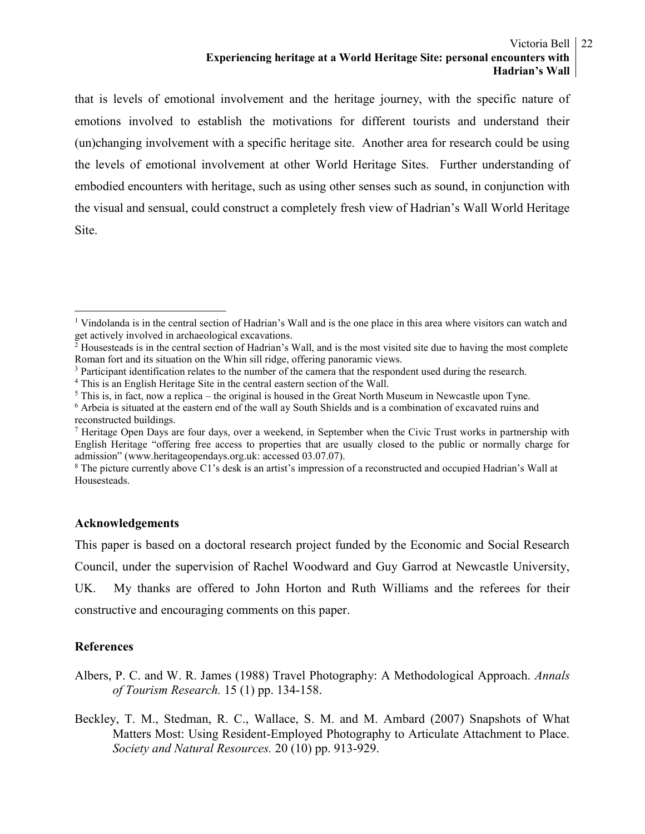#### Victoria Bell  **Experiencing heritage at a World Heritage Site: personal encounters with Hadrian's Wall** 22

that is levels of emotional involvement and the heritage journey, with the specific nature of emotions involved to establish the motivations for different tourists and understand their (un)changing involvement with a specific heritage site. Another area for research could be using the levels of emotional involvement at other World Heritage Sites. Further understanding of embodied encounters with heritage, such as using other senses such as sound, in conjunction with the visual and sensual, could construct a completely fresh view of Hadrian's Wall World Heritage Site.

 $5$  This is, in fact, now a replica – the original is housed in the Great North Museum in Newcastle upon Tyne.

## **Acknowledgements**

 $\overline{a}$ 

This paper is based on a doctoral research project funded by the Economic and Social Research

Council, under the supervision of Rachel Woodward and Guy Garrod at Newcastle University,

UK. My thanks are offered to John Horton and Ruth Williams and the referees for their constructive and encouraging comments on this paper.

# **References**

Albers, P. C. and W. R. James (1988) Travel Photography: A Methodological Approach. *Annals of Tourism Research.* 15 (1) pp. 134-158.

Beckley, T. M., Stedman, R. C., Wallace, S. M. and M. Ambard (2007) Snapshots of What Matters Most: Using Resident-Employed Photography to Articulate Attachment to Place. *Society and Natural Resources.* 20 (10) pp. 913-929.

<sup>1</sup> Vindolanda is in the central section of Hadrian's Wall and is the one place in this area where visitors can watch and get actively involved in archaeological excavations.

 $^{\frac{3}{2}}$  Housesteads is in the central section of Hadrian's Wall, and is the most visited site due to having the most complete Roman fort and its situation on the Whin sill ridge, offering panoramic views.

<sup>&</sup>lt;sup>3</sup> Participant identification relates to the number of the camera that the respondent used during the research.

<sup>4</sup> This is an English Heritage Site in the central eastern section of the Wall.

<sup>6</sup> Arbeia is situated at the eastern end of the wall ay South Shields and is a combination of excavated ruins and reconstructed buildings.

<sup>&</sup>lt;sup>7</sup> Heritage Open Days are four days, over a weekend, in September when the Civic Trust works in partnership with English Heritage "offering free access to properties that are usually closed to the public or normally charge for admission" (www.heritageopendays.org.uk: accessed 03.07.07).

<sup>8</sup> The picture currently above C1's desk is an artist's impression of a reconstructed and occupied Hadrian's Wall at Housesteads.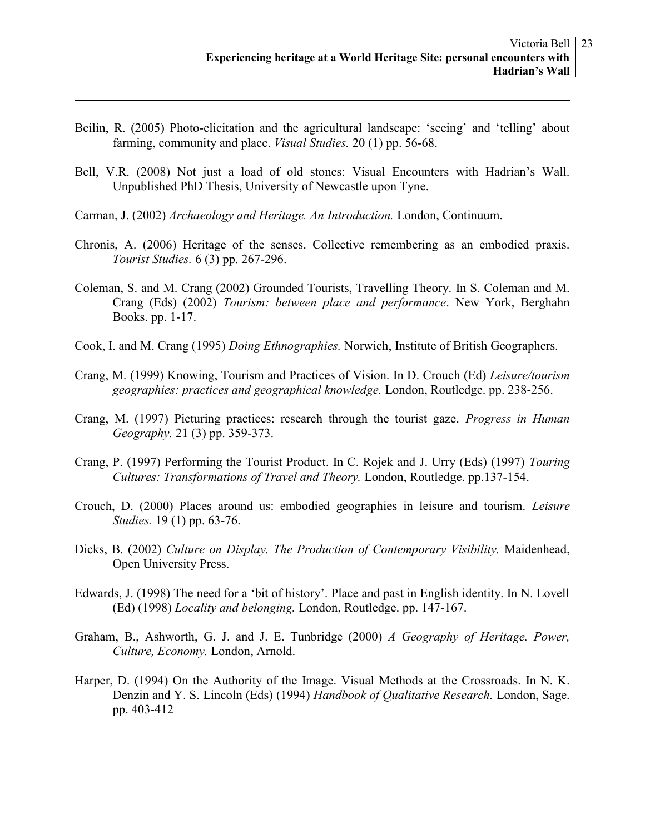- Beilin, R. (2005) Photo-elicitation and the agricultural landscape: 'seeing' and 'telling' about farming, community and place. *Visual Studies.* 20 (1) pp. 56-68.
- Bell, V.R. (2008) Not just a load of old stones: Visual Encounters with Hadrian's Wall. Unpublished PhD Thesis, University of Newcastle upon Tyne.
- Carman, J. (2002) *Archaeology and Heritage. An Introduction.* London, Continuum.

 $\overline{a}$ 

- Chronis, A. (2006) Heritage of the senses. Collective remembering as an embodied praxis. *Tourist Studies.* 6 (3) pp. 267-296.
- Coleman, S. and M. Crang (2002) Grounded Tourists, Travelling Theory. In S. Coleman and M. Crang (Eds) (2002) *Tourism: between place and performance*. New York, Berghahn Books. pp. 1-17.
- Cook, I. and M. Crang (1995) *Doing Ethnographies.* Norwich, Institute of British Geographers.
- Crang, M. (1999) Knowing, Tourism and Practices of Vision. In D. Crouch (Ed) *Leisure/tourism geographies: practices and geographical knowledge.* London, Routledge. pp. 238-256.
- Crang, M. (1997) Picturing practices: research through the tourist gaze. *Progress in Human Geography.* 21 (3) pp. 359-373.
- Crang, P. (1997) Performing the Tourist Product. In C. Rojek and J. Urry (Eds) (1997) *Touring Cultures: Transformations of Travel and Theory.* London, Routledge. pp.137-154.
- Crouch, D. (2000) Places around us: embodied geographies in leisure and tourism. *Leisure Studies.* 19 (1) pp. 63-76.
- Dicks, B. (2002) *Culture on Display. The Production of Contemporary Visibility.* Maidenhead, Open University Press.
- Edwards, J. (1998) The need for a 'bit of history'. Place and past in English identity. In N. Lovell (Ed) (1998) *Locality and belonging.* London, Routledge. pp. 147-167.
- Graham, B., Ashworth, G. J. and J. E. Tunbridge (2000) *A Geography of Heritage. Power, Culture, Economy.* London, Arnold.
- Harper, D. (1994) On the Authority of the Image. Visual Methods at the Crossroads. In N. K. Denzin and Y. S. Lincoln (Eds) (1994) *Handbook of Qualitative Research.* London, Sage. pp. 403-412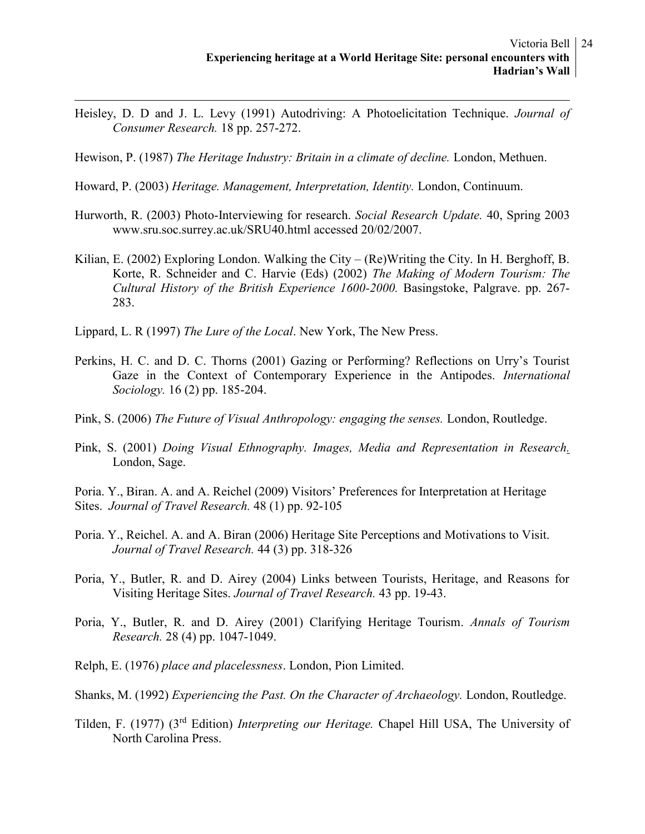- Heisley, D. D and J. L. Levy (1991) Autodriving: A Photoelicitation Technique. *Journal of Consumer Research.* 18 pp. 257-272.
- Hewison, P. (1987) *The Heritage Industry: Britain in a climate of decline.* London, Methuen.
- Howard, P. (2003) *Heritage. Management, Interpretation, Identity.* London, Continuum.
- Hurworth, R. (2003) Photo-Interviewing for research. *Social Research Update.* 40, Spring 2003 www.sru.soc.surrey.ac.uk/SRU40.html accessed 20/02/2007.
- Kilian, E. (2002) Exploring London. Walking the City (Re)Writing the City. In H. Berghoff, B. Korte, R. Schneider and C. Harvie (Eds) (2002) *The Making of Modern Tourism: The Cultural History of the British Experience 1600-2000.* Basingstoke, Palgrave. pp. 267- 283.
- Lippard, L. R (1997) *The Lure of the Local*. New York, The New Press.

 $\overline{a}$ 

- Perkins, H. C. and D. C. Thorns (2001) Gazing or Performing? Reflections on Urry's Tourist Gaze in the Context of Contemporary Experience in the Antipodes. *International Sociology.* 16 (2) pp. 185-204.
- Pink, S. (2006) *The Future of Visual Anthropology: engaging the senses.* London, Routledge.
- Pink, S. (2001) *Doing Visual Ethnography. Images, Media and Representation in Research.* London, Sage.

Poria. Y., Biran. A. and A. Reichel (2009) Visitors' Preferences for Interpretation at Heritage Sites. *Journal of Travel Research.* 48 (1) pp. 92-105

- Poria. Y., Reichel. A. and A. Biran (2006) Heritage Site Perceptions and Motivations to Visit. *Journal of Travel Research.* 44 (3) pp. 318-326
- Poria, Y., Butler, R. and D. Airey (2004) Links between Tourists, Heritage, and Reasons for Visiting Heritage Sites. *Journal of Travel Research.* 43 pp. 19-43.
- Poria, Y., Butler, R. and D. Airey (2001) Clarifying Heritage Tourism. *Annals of Tourism Research.* 28 (4) pp. 1047-1049.
- Relph, E. (1976) *place and placelessness*. London, Pion Limited.
- Shanks, M. (1992) *Experiencing the Past. On the Character of Archaeology.* London, Routledge.
- Tilden, F. (1977) (3rd Edition) *Interpreting our Heritage.* Chapel Hill USA, The University of North Carolina Press.